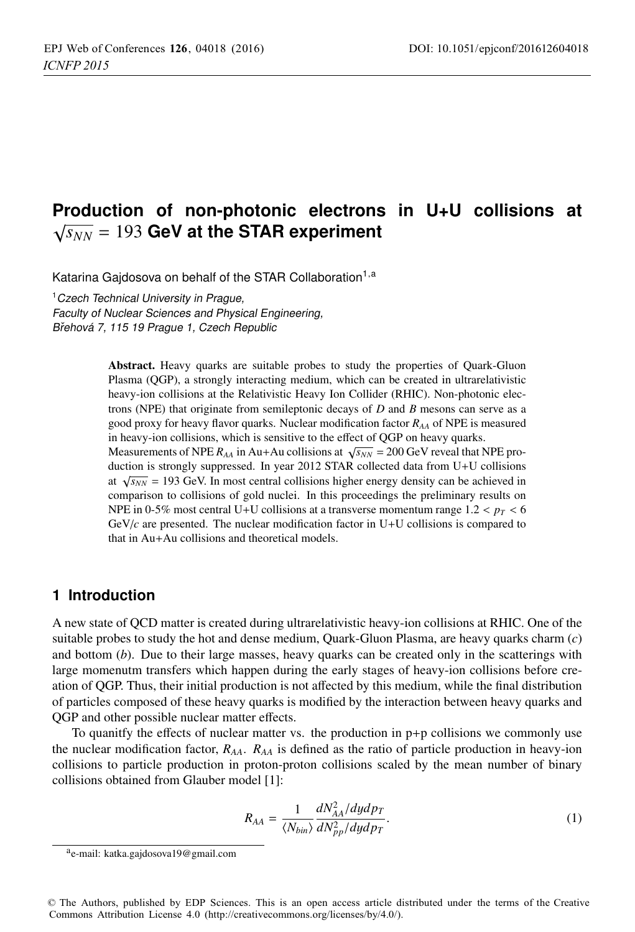# **Production of non-photonic electrons in U+U collisions at**  $\sqrt{s_{NN}}$  = 193 GeV at the STAR experiment

Katarina Gajdosova on behalf of the STAR Collaboration<sup>1,a</sup>

<sup>1</sup> Czech Technical University in Prague, Faculty of Nuclear Sciences and Physical Engineering,

Břehová 7, 115 19 Prague 1, Czech Republic

Abstract. Heavy quarks are suitable probes to study the properties of Quark-Gluon Plasma (QGP), a strongly interacting medium, which can be created in ultrarelativistic heavy-ion collisions at the Relativistic Heavy Ion Collider (RHIC). Non-photonic electrons (NPE) that originate from semileptonic decays of *D* and *B* mesons can serve as a good proxy for heavy flavor quarks. Nuclear modification factor *RAA* of NPE is measured in heavy-ion collisions, which is sensitive to the effect of QGP on heavy quarks.

Measurements of NPE  $R_{AA}$  in Au+Au collisions at  $\sqrt{s_{NN}}$  = 200 GeV reveal that NPE production is strongly suppressed. In year 2012 STAR collected data from U+U collisions at  $\sqrt{s_{NN}}$  = 193 GeV. In most central collisions higher energy density can be achieved in comparison to collisions of gold nuclei. In this proceedings the preliminary results on NPE in 0-5% most central U+U collisions at a transverse momentum range  $1.2 < p_T < 6$ GeV/*c* are presented. The nuclear modification factor in U+U collisions is compared to that in Au+Au collisions and theoretical models.

# **1 Introduction**

A new state of QCD matter is created during ultrarelativistic heavy-ion collisions at RHIC. One of the suitable probes to study the hot and dense medium, Quark-Gluon Plasma, are heavy quarks charm (*c*) and bottom (*b*). Due to their large masses, heavy quarks can be created only in the scatterings with large momenutm transfers which happen during the early stages of heavy-ion collisions before creation of QGP. Thus, their initial production is not affected by this medium, while the final distribution of particles composed of these heavy quarks is modified by the interaction between heavy quarks and QGP and other possible nuclear matter effects.

To quanitfy the effects of nuclear matter vs. the production in  $p+p$  collisions we commonly use the nuclear modification factor, *RAA*. *RAA* is defined as the ratio of particle production in heavy-ion collisions to particle production in proton-proton collisions scaled by the mean number of binary collisions obtained from Glauber model [1]:

$$
R_{AA} = \frac{1}{\langle N_{bin} \rangle} \frac{dN_{AA}^2/dydp_T}{dN_{pp}^2/dydp_T}.
$$
 (1)

© The Authors, published by EDP Sciences. This is an open access article distributed under the terms of the Creative Commons Attribution License 4.0 (http://creativecommons.org/licenses/by/4.0/).

ae-mail: katka.gajdosova19@gmail.com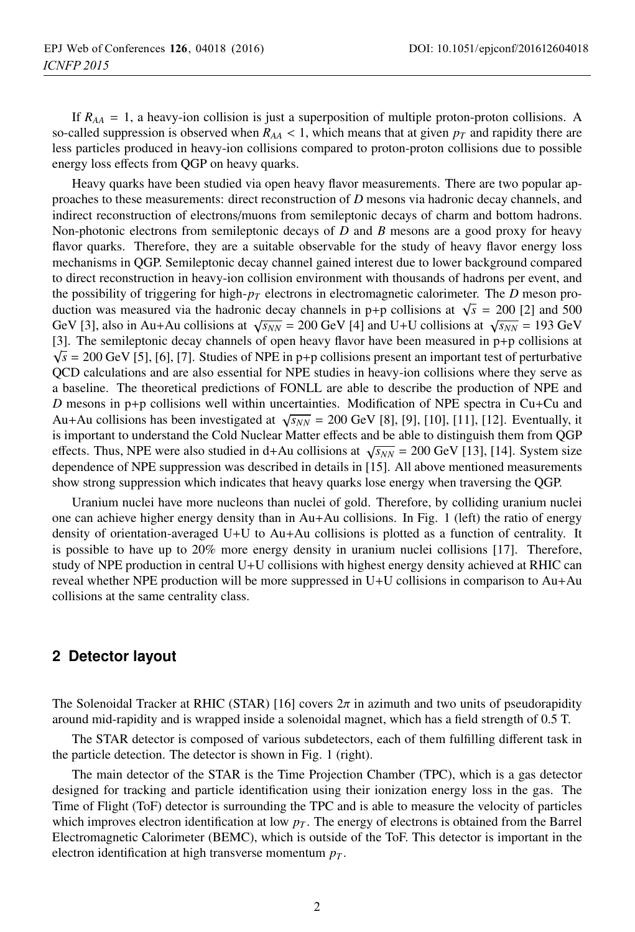If  $R_{AA} = 1$ , a heavy-ion collision is just a superposition of multiple proton-proton collisions. A so-called suppression is observed when  $R_{AA}$  < 1, which means that at given  $p_T$  and rapidity there are less particles produced in heavy-ion collisions compared to proton-proton collisions due to possible energy loss effects from QGP on heavy quarks.

Heavy quarks have been studied via open heavy flavor measurements. There are two popular approaches to these measurements: direct reconstruction of *D* mesons via hadronic decay channels, and indirect reconstruction of electrons/muons from semileptonic decays of charm and bottom hadrons. Non-photonic electrons from semileptonic decays of *D* and *B* mesons are a good proxy for heavy flavor quarks. Therefore, they are a suitable observable for the study of heavy flavor energy loss mechanisms in QGP. Semileptonic decay channel gained interest due to lower background compared to direct reconstruction in heavy-ion collision environment with thousands of hadrons per event, and the possibility of triggering for high- $p_T$  electrons in electromagnetic calorimeter. The *D* meson production was measured via the hadronic decay channels in p+p collisions at  $\sqrt{s}$  = 200 [2] and 500 GeV [3], also in Au+Au collisions at  $\sqrt{s_{NN}}$  = 200 GeV [4] and U+U collisions at  $\sqrt{s_{NN}}$  = 193 GeV [3]. The semileptonic decay channels of open heavy flavor have been measured in p+p collisions at  $\sqrt{s}$  = 200 GeV [5], [6], [7]. Studies of NPE in p+p collisions present an important test of perturbative QCD calculations and are also essential for NPE studies in heavy-ion collisions where they serve as a baseline. The theoretical predictions of FONLL are able to describe the production of NPE and *D* mesons in p+p collisions well within uncertainties. Modification of NPE spectra in Cu+Cu and Au+Au collisions has been investigated at  $\sqrt{s_{NN}}$  = 200 GeV [8], [9], [10], [11], [12]. Eventually, it is important to understand the Cold Nuclear Matter effects and be able to distinguish them from QGP effects. Thus, NPE were also studied in d+Au collisions at  $\sqrt{s_{NN}}$  = 200 GeV [13], [14]. System size dependence of NPE suppression was described in details in [15]. All above mentioned measurements show strong suppression which indicates that heavy quarks lose energy when traversing the QGP.

Uranium nuclei have more nucleons than nuclei of gold. Therefore, by colliding uranium nuclei one can achieve higher energy density than in Au+Au collisions. In Fig. 1 (left) the ratio of energy density of orientation-averaged U+U to Au+Au collisions is plotted as a function of centrality. It is possible to have up to 20% more energy density in uranium nuclei collisions [17]. Therefore, study of NPE production in central U+U collisions with highest energy density achieved at RHIC can reveal whether NPE production will be more suppressed in  $U+U$  collisions in comparison to  $Au+Au$ collisions at the same centrality class.

### **2 Detector layout**

The Solenoidal Tracker at RHIC (STAR) [16] covers  $2\pi$  in azimuth and two units of pseudorapidity around mid-rapidity and is wrapped inside a solenoidal magnet, which has a field strength of 0.5 T.

The STAR detector is composed of various subdetectors, each of them fulfilling different task in the particle detection. The detector is shown in Fig. 1 (right).

The main detector of the STAR is the Time Projection Chamber (TPC), which is a gas detector designed for tracking and particle identification using their ionization energy loss in the gas. The Time of Flight (ToF) detector is surrounding the TPC and is able to measure the velocity of particles which improves electron identification at low  $p<sub>T</sub>$ . The energy of electrons is obtained from the Barrel Electromagnetic Calorimeter (BEMC), which is outside of the ToF. This detector is important in the electron identification at high transverse momentum  $p_T$ .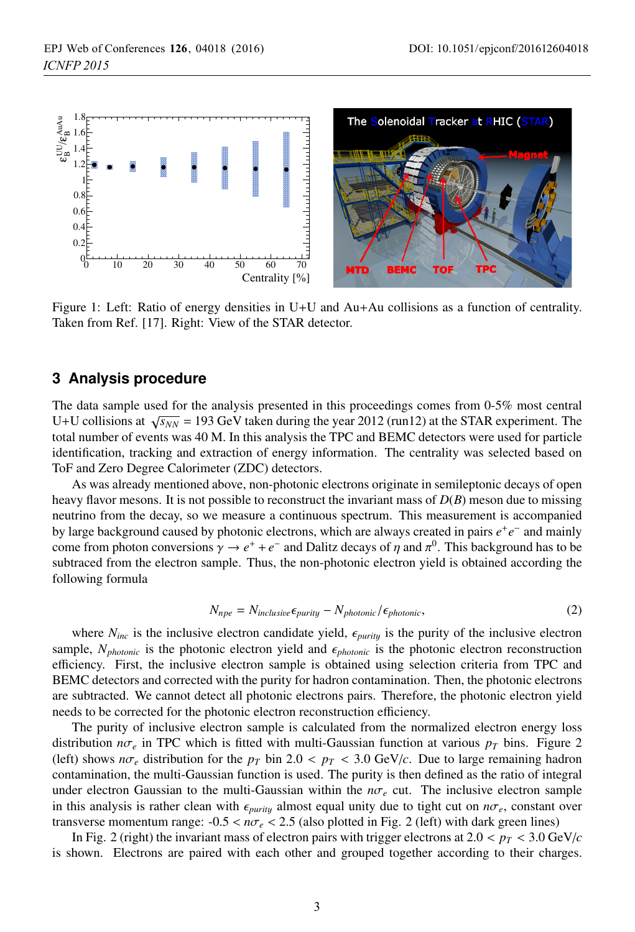

Figure 1: Left: Ratio of energy densities in U+U and Au+Au collisions as a function of centrality. Taken from Ref. [17]. Right: View of the STAR detector.

### **3 Analysis procedure**

The data sample used for the analysis presented in this proceedings comes from 0-5% most central U+U collisions at  $\sqrt{s_{NN}}$  = 193 GeV taken during the year 2012 (run12) at the STAR experiment. The total number of events was 40 M. In this analysis the TPC and BEMC detectors were used for particle identification, tracking and extraction of energy information. The centrality was selected based on ToF and Zero Degree Calorimeter (ZDC) detectors.

As was already mentioned above, non-photonic electrons originate in semileptonic decays of open heavy flavor mesons. It is not possible to reconstruct the invariant mass of *D*(*B*) meson due to missing neutrino from the decay, so we measure a continuous spectrum. This measurement is accompanied by large background caused by photonic electrons, which are always created in pairs *e*+*e*<sup>−</sup> and mainly come from photon conversions  $\gamma \to e^+ + e^-$  and Dalitz decays of  $\eta$  and  $\pi^0$ . This background has to be subtraced from the electron sample. Thus, the non-photonic electron yield is obtained according the following formula

$$
N_{npe} = N_{inclusive} \epsilon_{purity} - N_{photonic} / \epsilon_{photonic},
$$
\n(2)

where  $N_{inc}$  is the inclusive electron candidate yield,  $\epsilon_{purity}$  is the purity of the inclusive electron sample,  $N_{photonic}$  is the photonic electron yield and  $\epsilon_{photonic}$  is the photonic electron reconstruction efficiency. First, the inclusive electron sample is obtained using selection criteria from TPC and BEMC detectors and corrected with the purity for hadron contamination. Then, the photonic electrons are subtracted. We cannot detect all photonic electrons pairs. Therefore, the photonic electron yield needs to be corrected for the photonic electron reconstruction efficiency.

The purity of inclusive electron sample is calculated from the normalized electron energy loss distribution  $n\sigma_e$  in TPC which is fitted with multi-Gaussian function at various  $p_T$  bins. Figure 2 (left) shows  $n\sigma_e$  distribution for the  $p_T$  bin 2.0 <  $p_T$  < 3.0 GeV/*c*. Due to large remaining hadron contamination, the multi-Gaussian function is used. The purity is then defined as the ratio of integral under electron Gaussian to the multi-Gaussian within the  $n\sigma_e$  cut. The inclusive electron sample in this analysis is rather clean with  $\epsilon_{purity}$  almost equal unity due to tight cut on  $n\sigma_e$ , constant over transverse momentum range: -0.5 < *n*σ*<sup>e</sup>* < 2.5 (also plotted in Fig. 2 (left) with dark green lines)

In Fig. 2 (right) the invariant mass of electron pairs with trigger electrons at  $2.0 < p_T < 3.0$  GeV/*c* is shown. Electrons are paired with each other and grouped together according to their charges.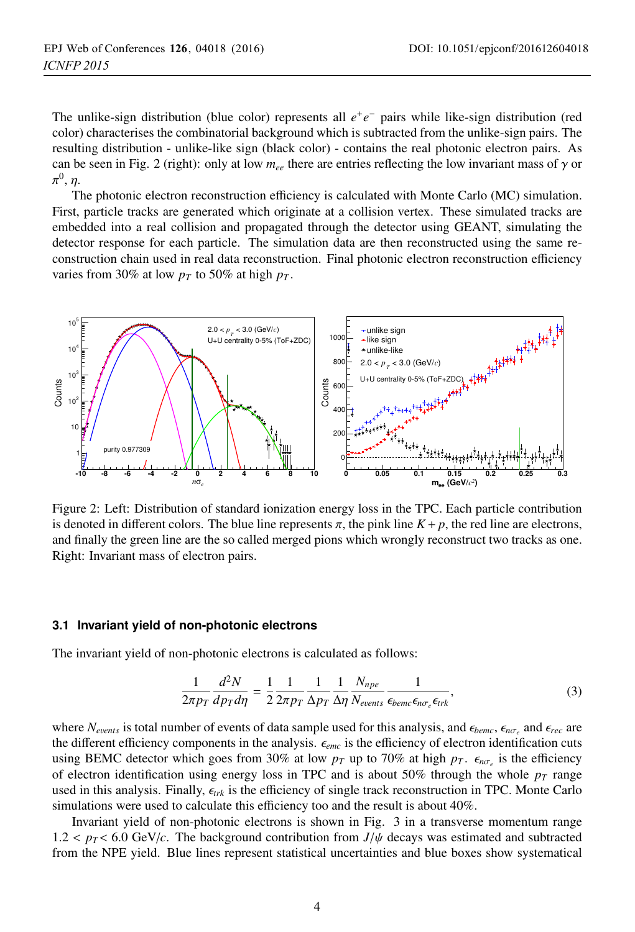The unlike-sign distribution (blue color) represents all *e*+*e*<sup>−</sup> pairs while like-sign distribution (red color) characterises the combinatorial background which is subtracted from the unlike-sign pairs. The resulting distribution - unlike-like sign (black color) - contains the real photonic electron pairs. As can be seen in Fig. 2 (right): only at low  $m_{ee}$  there are entries reflecting the low invariant mass of  $\gamma$  or  $\pi^0$ ,  $\eta$ .

The photonic electron reconstruction efficiency is calculated with Monte Carlo (MC) simulation. First, particle tracks are generated which originate at a collision vertex. These simulated tracks are embedded into a real collision and propagated through the detector using GEANT, simulating the detector response for each particle. The simulation data are then reconstructed using the same reconstruction chain used in real data reconstruction. Final photonic electron reconstruction efficiency varies from 30% at low  $p_T$  to 50% at high  $p_T$ .



Figure 2: Left: Distribution of standard ionization energy loss in the TPC. Each particle contribution is denoted in different colors. The blue line represents  $\pi$ , the pink line  $K + p$ , the red line are electrons, and finally the green line are the so called merged pions which wrongly reconstruct two tracks as one. Right: Invariant mass of electron pairs.

#### **3.1 Invariant yield of non-photonic electrons**

The invariant yield of non-photonic electrons is calculated as follows:

$$
\frac{1}{2\pi p_T} \frac{d^2 N}{dp_T d\eta} = \frac{1}{2} \frac{1}{2\pi p_T} \frac{1}{\Delta p_T} \frac{1}{\Delta \eta} \frac{N_{npe}}{N_{events}} \frac{1}{\epsilon_{beme} \epsilon_{n\sigma_e} \epsilon_{trk}},
$$
(3)

where  $N_{events}$  is total number of events of data sample used for this analysis, and  $\epsilon_{h\sigma_x}$  and  $\epsilon_{rec}$  are the different efficiency components in the analysis.  $\epsilon_{emc}$  is the efficiency of electron identification cuts using BEMC detector which goes from 30% at low  $p_T$  up to 70% at high  $p_T$ .  $\epsilon_{n\sigma_r}$  is the efficiency of electron identification using energy loss in TPC and is about 50% through the whole  $p_T$  range used in this analysis. Finally,  $\epsilon_{trk}$  is the efficiency of single track reconstruction in TPC. Monte Carlo simulations were used to calculate this efficiency too and the result is about 40%.

Invariant yield of non-photonic electrons is shown in Fig. 3 in a transverse momentum range  $1.2 < p_T < 6.0$  GeV/*c*. The background contribution from  $J/\psi$  decays was estimated and subtracted from the NPE yield. Blue lines represent statistical uncertainties and blue boxes show systematical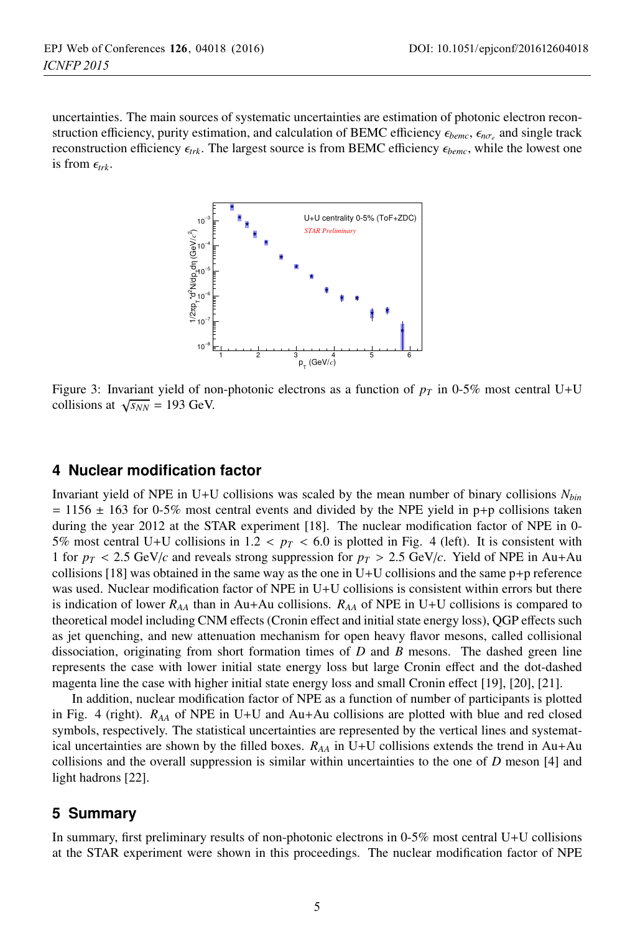uncertainties. The main sources of systematic uncertainties are estimation of photonic electron reconstruction efficiency, purity estimation, and calculation of BEMC efficiency  $\epsilon_{bemc}$ ,  $\epsilon_{nσ}$  and single track reconstruction efficiency *trk*. The largest source is from BEMC efficiency *bemc*, while the lowest one is from  $\epsilon_{trk}$ .



Figure 3: Invariant yield of non-photonic electrons as a function of  $p<sub>T</sub>$  in 0-5% most central U+U collisions at  $\sqrt{s_{NN}}$  = 193 GeV.

### **4 Nuclear modification factor**

Invariant yield of NPE in U+U collisions was scaled by the mean number of binary collisions *Nbin*  $= 1156 \pm 163$  for 0-5% most central events and divided by the NPE yield in p+p collisions taken during the year 2012 at the STAR experiment [18]. The nuclear modification factor of NPE in 0-5% most central U+U collisions in 1.2 <  $p_T < 6.0$  is plotted in Fig. 4 (left). It is consistent with 1 for  $p_T < 2.5$  GeV/*c* and reveals strong suppression for  $p_T > 2.5$  GeV/*c*. Yield of NPE in Au+Au collisions  $[18]$  was obtained in the same way as the one in U+U collisions and the same  $p+p$  reference was used. Nuclear modification factor of NPE in U+U collisions is consistent within errors but there is indication of lower  $R_{AA}$  than in Au+Au collisions.  $R_{AA}$  of NPE in U+U collisions is compared to theoretical model including CNM effects (Cronin effect and initial state energy loss), QGP effects such as jet quenching, and new attenuation mechanism for open heavy flavor mesons, called collisional dissociation, originating from short formation times of *D* and *B* mesons. The dashed green line represents the case with lower initial state energy loss but large Cronin effect and the dot-dashed magenta line the case with higher initial state energy loss and small Cronin effect [19], [20], [21].

In addition, nuclear modification factor of NPE as a function of number of participants is plotted in Fig. 4 (right). *RAA* of NPE in U+U and Au+Au collisions are plotted with blue and red closed symbols, respectively. The statistical uncertainties are represented by the vertical lines and systematical uncertainties are shown by the filled boxes.  $R_{AA}$  in U+U collisions extends the trend in Au+Au collisions and the overall suppression is similar within uncertainties to the one of *D* meson [4] and light hadrons [22].

## **5 Summary**

In summary, first preliminary results of non-photonic electrons in 0-5% most central U+U collisions at the STAR experiment were shown in this proceedings. The nuclear modification factor of NPE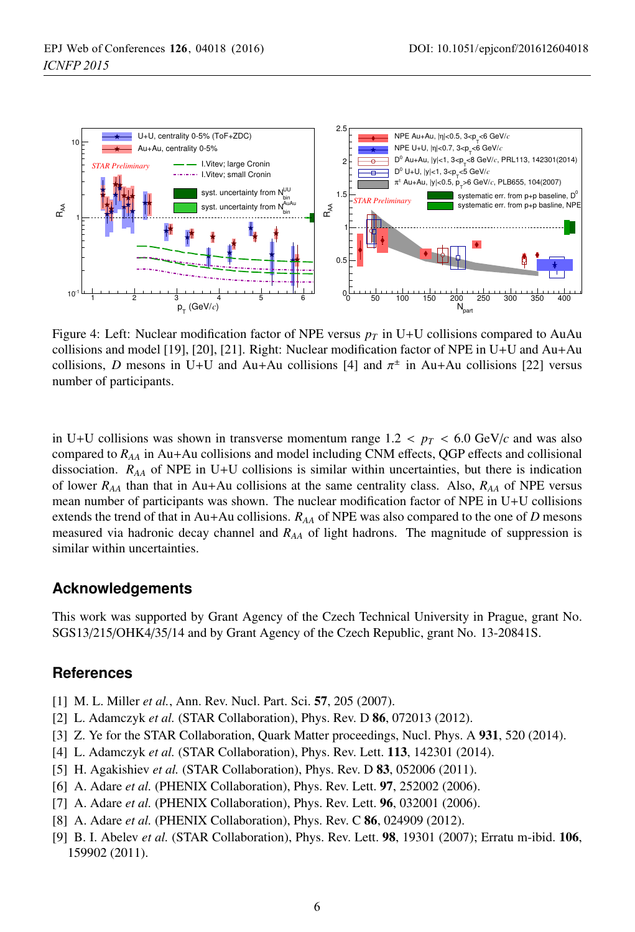

Figure 4: Left: Nuclear modification factor of NPE versus  $p<sub>T</sub>$  in U+U collisions compared to AuAu collisions and model [19], [20], [21]. Right: Nuclear modification factor of NPE in U+U and Au+Au collisions, *D* mesons in U+U and Au+Au collisions [4] and  $\pi^{\pm}$  in Au+Au collisions [22] versus number of participants.

in U+U collisions was shown in transverse momentum range  $1.2 < p_T < 6.0$  GeV/ $c$  and was also compared to *RAA* in Au+Au collisions and model including CNM effects, QGP effects and collisional dissociation. *RAA* of NPE in U+U collisions is similar within uncertainties, but there is indication of lower *RAA* than that in Au+Au collisions at the same centrality class. Also, *RAA* of NPE versus mean number of participants was shown. The nuclear modification factor of NPE in U+U collisions extends the trend of that in Au+Au collisions. *RAA* of NPE was also compared to the one of *D* mesons measured via hadronic decay channel and *RAA* of light hadrons. The magnitude of suppression is similar within uncertainties.

## **Acknowledgements**

This work was supported by Grant Agency of the Czech Technical University in Prague, grant No. SGS13/215/OHK4/35/14 and by Grant Agency of the Czech Republic, grant No. 13-20841S.

# **References**

- [1] M. L. Miller *et al.*, Ann. Rev. Nucl. Part. Sci. **57**, 205 (2007).
- [2] L. Adamczyk *et al.* (STAR Collaboration), Phys. Rev. D 86, 072013 (2012).
- [3] Z. Ye for the STAR Collaboration, Quark Matter proceedings, Nucl. Phys. A 931, 520 (2014).
- [4] L. Adamczyk *et al.* (STAR Collaboration), Phys. Rev. Lett. 113, 142301 (2014).
- [5] H. Agakishiev *et al.* (STAR Collaboration), Phys. Rev. D **83**, 052006 (2011).
- [6] A. Adare *et al.* (PHENIX Collaboration), Phys. Rev. Lett. 97, 252002 (2006).
- [7] A. Adare *et al.* (PHENIX Collaboration), Phys. Rev. Lett. **96**, 032001 (2006).
- [8] A. Adare *et al.* (PHENIX Collaboration), Phys. Rev. C 86, 024909 (2012).
- [9] B. I. Abelev *et al.* (STAR Collaboration), Phys. Rev. Lett. 98, 19301 (2007); Erratu m-ibid. 106, 159902 (2011).